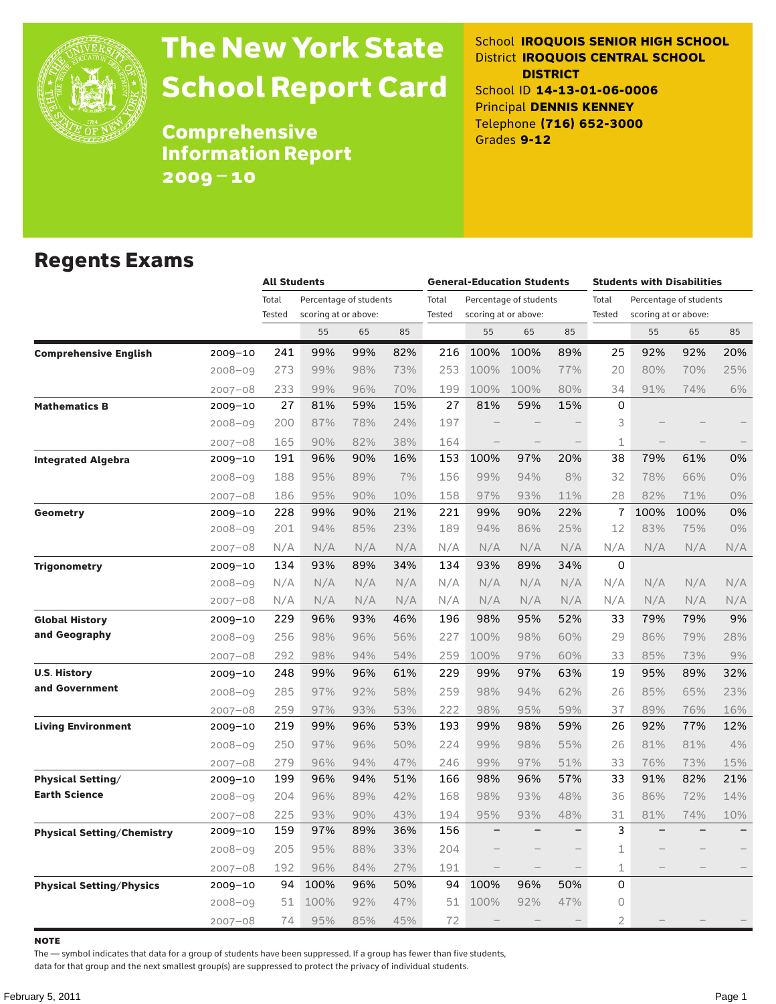

# The New York State School Report Card

School **IROQUOIS SENIOR HIGH SCHOOL** District **IROQUOIS CENTRAL SCHOOL DISTRICT** School ID **14-13-01-06-0006** Principal **DENNIS KENNEY** Telephone **(716) 652-3000** Grades **9-12**

Comprehensive Information Report 2009–10

### Regents Exams

|                                   |             |                 | <b>All Students</b>                            |     |     |                 | <b>General-Education Students</b> |                                                |     |                 | <b>Students with Disabilities</b> |                                                |     |  |
|-----------------------------------|-------------|-----------------|------------------------------------------------|-----|-----|-----------------|-----------------------------------|------------------------------------------------|-----|-----------------|-----------------------------------|------------------------------------------------|-----|--|
|                                   |             | Total<br>Tested | Percentage of students<br>scoring at or above: |     |     | Total<br>Tested |                                   | Percentage of students<br>scoring at or above: |     | Total<br>Tested |                                   | Percentage of students<br>scoring at or above: |     |  |
|                                   |             |                 | 55                                             | 65  | 85  |                 | 55                                | 65                                             | 85  |                 | 55                                | 65                                             | 85  |  |
| <b>Comprehensive English</b>      | 2009-10     | 241             | 99%                                            | 99% | 82% | 216             | 100%                              | 100%                                           | 89% | 25              | 92%                               | 92%                                            | 20% |  |
|                                   | 2008-09     | 273             | 99%                                            | 98% | 73% | 253             | 100%                              | 100%                                           | 77% | 20              | 80%                               | 70%                                            | 25% |  |
|                                   | $2007 - 08$ | 233             | 99%                                            | 96% | 70% | 199             | 100%                              | 100%                                           | 80% | 34              | 91%                               | 74%                                            | 6%  |  |
| <b>Mathematics B</b>              | $2009 - 10$ | 27              | 81%                                            | 59% | 15% | 27              | 81%                               | 59%                                            | 15% | 0               |                                   |                                                |     |  |
|                                   | $2008 - 09$ | 200             | 87%                                            | 78% | 24% | 197             |                                   |                                                |     | 3               |                                   |                                                |     |  |
|                                   | $2007 - 08$ | 165             | 90%                                            | 82% | 38% | 164             |                                   |                                                |     | 1               |                                   |                                                |     |  |
| <b>Integrated Algebra</b>         | 2009-10     | 191             | 96%                                            | 90% | 16% | 153             | 100%                              | 97%                                            | 20% | 38              | 79%                               | 61%                                            | 0%  |  |
|                                   | $2008 - 09$ | 188             | 95%                                            | 89% | 7%  | 156             | 99%                               | 94%                                            | 8%  | 32              | 78%                               | 66%                                            | 0%  |  |
|                                   | $2007 - 08$ | 186             | 95%                                            | 90% | 10% | 158             | 97%                               | 93%                                            | 11% | 28              | 82%                               | 71%                                            | 0%  |  |
| <b>Geometry</b>                   | 2009-10     | 228             | 99%                                            | 90% | 21% | 221             | 99%                               | 90%                                            | 22% | 7               | 100%                              | 100%                                           | 0%  |  |
|                                   | $2008 - 09$ | 201             | 94%                                            | 85% | 23% | 189             | 94%                               | 86%                                            | 25% | 12              | 83%                               | 75%                                            | 0%  |  |
|                                   | $2007 - 08$ | N/A             | N/A                                            | N/A | N/A | N/A             | N/A                               | N/A                                            | N/A | N/A             | N/A                               | N/A                                            | N/A |  |
| <b>Trigonometry</b>               | 2009-10     | 134             | 93%                                            | 89% | 34% | 134             | 93%                               | 89%                                            | 34% | $\Omega$        |                                   |                                                |     |  |
|                                   | $2008 - 09$ | N/A             | N/A                                            | N/A | N/A | N/A             | N/A                               | N/A                                            | N/A | N/A             | N/A                               | N/A                                            | N/A |  |
|                                   | 2007-08     | N/A             | N/A                                            | N/A | N/A | N/A             | N/A                               | N/A                                            | N/A | N/A             | N/A                               | N/A                                            | N/A |  |
| <b>Global History</b>             | 2009-10     | 229             | 96%                                            | 93% | 46% | 196             | 98%                               | 95%                                            | 52% | 33              | 79%                               | 79%                                            | 9%  |  |
| and Geography                     | 2008-09     | 256             | 98%                                            | 96% | 56% | 227             | 100%                              | 98%                                            | 60% | 29              | 86%                               | 79%                                            | 28% |  |
|                                   | $2007 - 08$ | 292             | 98%                                            | 94% | 54% | 259             | 100%                              | 97%                                            | 60% | 33              | 85%                               | 73%                                            | 9%  |  |
| <b>U.S. History</b>               | 2009-10     | 248             | 99%                                            | 96% | 61% | 229             | 99%                               | 97%                                            | 63% | 19              | 95%                               | 89%                                            | 32% |  |
| and Government                    | 2008-09     | 285             | 97%                                            | 92% | 58% | 259             | 98%                               | 94%                                            | 62% | 26              | 85%                               | 65%                                            | 23% |  |
|                                   | $2007 - 08$ | 259             | 97%                                            | 93% | 53% | 222             | 98%                               | 95%                                            | 59% | 37              | 89%                               | 76%                                            | 16% |  |
| <b>Living Environment</b>         | 2009-10     | 219             | 99%                                            | 96% | 53% | 193             | 99%                               | 98%                                            | 59% | 26              | 92%                               | 77%                                            | 12% |  |
|                                   | 2008-09     | 250             | 97%                                            | 96% | 50% | 224             | 99%                               | 98%                                            | 55% | 26              | 81%                               | 81%                                            | 4%  |  |
|                                   | 2007-08     | 279             | 96%                                            | 94% | 47% | 246             | 99%                               | 97%                                            | 51% | 33              | 76%                               | 73%                                            | 15% |  |
| <b>Physical Setting/</b>          | 2009-10     | 199             | 96%                                            | 94% | 51% | 166             | 98%                               | 96%                                            | 57% | 33              | 91%                               | 82%                                            | 21% |  |
| <b>Earth Science</b>              | $2008 - 09$ | 204             | 96%                                            | 89% | 42% | 168             | 98%                               | 93%                                            | 48% | 36              | 86%                               | 72%                                            | 14% |  |
|                                   | 2007-08     | 225             | 93%                                            | 90% | 43% | 194             | 95%                               | 93%                                            | 48% | 31              | 81%                               | 74%                                            | 10% |  |
| <b>Physical Setting/Chemistry</b> | 2009-10     | 159             | 97%                                            | 89% | 36% | 156             |                                   |                                                |     | 3               |                                   |                                                |     |  |
|                                   | $2008 - 09$ | 205             | 95%                                            | 88% | 33% | 204             |                                   |                                                |     | 1               |                                   |                                                |     |  |
|                                   | $2007 - 08$ | 192             | 96%                                            | 84% | 27% | 191             | $\qquad \qquad -$                 |                                                |     | 1               |                                   |                                                |     |  |
| <b>Physical Setting/Physics</b>   | 2009-10     | 94              | 100%                                           | 96% | 50% | 94              | 100%                              | 96%                                            | 50% | 0               |                                   |                                                |     |  |
|                                   | $2008 - 09$ | 51              | 100%                                           | 92% | 47% | 51              | 100%                              | 92%                                            | 47% | $\Omega$        |                                   |                                                |     |  |
|                                   | $2007 - 08$ | 74              | 95%                                            | 85% | 45% | 72              |                                   |                                                |     | $\overline{2}$  |                                   |                                                |     |  |

**NOTE** 

The — symbol indicates that data for a group of students have been suppressed. If a group has fewer than five students,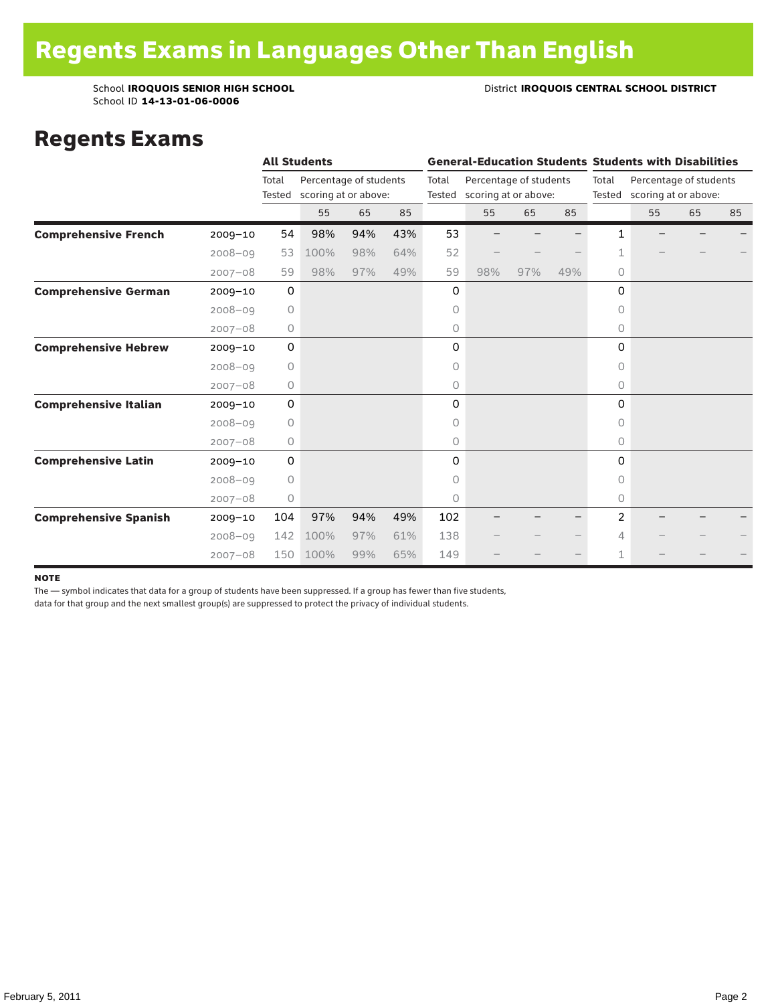School ID **14-13-01-06-0006**

#### School **IROQUOIS SENIOR HIGH SCHOOL District <b>IROQUOIS CENTRAL SCHOOL DISTRICT**

### Regents Exams

|                              |             | <b>All Students</b> |                                                |     |     | <b>General-Education Students Students with Disabilities</b> |                             |                        |     |          |                                                       |    |    |  |
|------------------------------|-------------|---------------------|------------------------------------------------|-----|-----|--------------------------------------------------------------|-----------------------------|------------------------|-----|----------|-------------------------------------------------------|----|----|--|
|                              |             | Total<br>Tested     | Percentage of students<br>scoring at or above: |     |     | Total                                                        | Tested scoring at or above: | Percentage of students |     | Total    | Percentage of students<br>Tested scoring at or above: |    |    |  |
|                              |             |                     | 55                                             | 65  | 85  |                                                              | 55                          | 65                     | 85  |          | 55                                                    | 65 | 85 |  |
| <b>Comprehensive French</b>  | $2009 - 10$ | 54                  | 98%                                            | 94% | 43% | 53                                                           |                             |                        |     | 1        |                                                       |    |    |  |
|                              | $2008 - 09$ | 53                  | 100%                                           | 98% | 64% | 52                                                           |                             |                        |     | 1        |                                                       |    |    |  |
|                              | $2007 - 08$ | 59                  | 98%                                            | 97% | 49% | 59                                                           | 98%                         | 97%                    | 49% | $\circ$  |                                                       |    |    |  |
| <b>Comprehensive German</b>  | $2009 - 10$ | 0                   |                                                |     |     | 0                                                            |                             |                        |     | 0        |                                                       |    |    |  |
|                              | $2008 - 09$ | $\circ$             |                                                |     |     | 0                                                            |                             |                        |     | 0        |                                                       |    |    |  |
|                              | $2007 - 08$ | $\circ$             |                                                |     |     | 0                                                            |                             |                        |     | 0        |                                                       |    |    |  |
| <b>Comprehensive Hebrew</b>  | $2009 - 10$ | $\mathbf 0$         |                                                |     |     | 0                                                            |                             |                        |     | 0        |                                                       |    |    |  |
|                              | $2008 - 09$ | $\circ$             |                                                |     |     | 0                                                            |                             |                        |     | $\Omega$ |                                                       |    |    |  |
|                              | $2007 - 08$ | 0                   |                                                |     |     | 0                                                            |                             |                        |     | 0        |                                                       |    |    |  |
| <b>Comprehensive Italian</b> | $2009 - 10$ | $\mathbf 0$         |                                                |     |     | 0                                                            |                             |                        |     | 0        |                                                       |    |    |  |
|                              | $2008 - 09$ | $\circ$             |                                                |     |     | 0                                                            |                             |                        |     | 0        |                                                       |    |    |  |
|                              | $2007 - 08$ | 0                   |                                                |     |     | 0                                                            |                             |                        |     | $\circ$  |                                                       |    |    |  |
| <b>Comprehensive Latin</b>   | $2009 - 10$ | $\mathbf 0$         |                                                |     |     | 0                                                            |                             |                        |     | $\Omega$ |                                                       |    |    |  |
|                              | $2008 - 09$ | $\circ$             |                                                |     |     | 0                                                            |                             |                        |     | $\Omega$ |                                                       |    |    |  |
|                              | $2007 - 08$ | 0                   |                                                |     |     | 0                                                            |                             |                        |     | $\circ$  |                                                       |    |    |  |
| <b>Comprehensive Spanish</b> | $2009 - 10$ | 104                 | 97%                                            | 94% | 49% | 102                                                          |                             |                        |     | 2        |                                                       |    |    |  |
|                              | $2008 - 09$ | 142                 | 100%                                           | 97% | 61% | 138                                                          |                             |                        |     | 4        |                                                       |    |    |  |
|                              | $2007 - 08$ | 150                 | 100%                                           | 99% | 65% | 149                                                          |                             |                        |     | 1        |                                                       |    |    |  |

#### note

The — symbol indicates that data for a group of students have been suppressed. If a group has fewer than five students,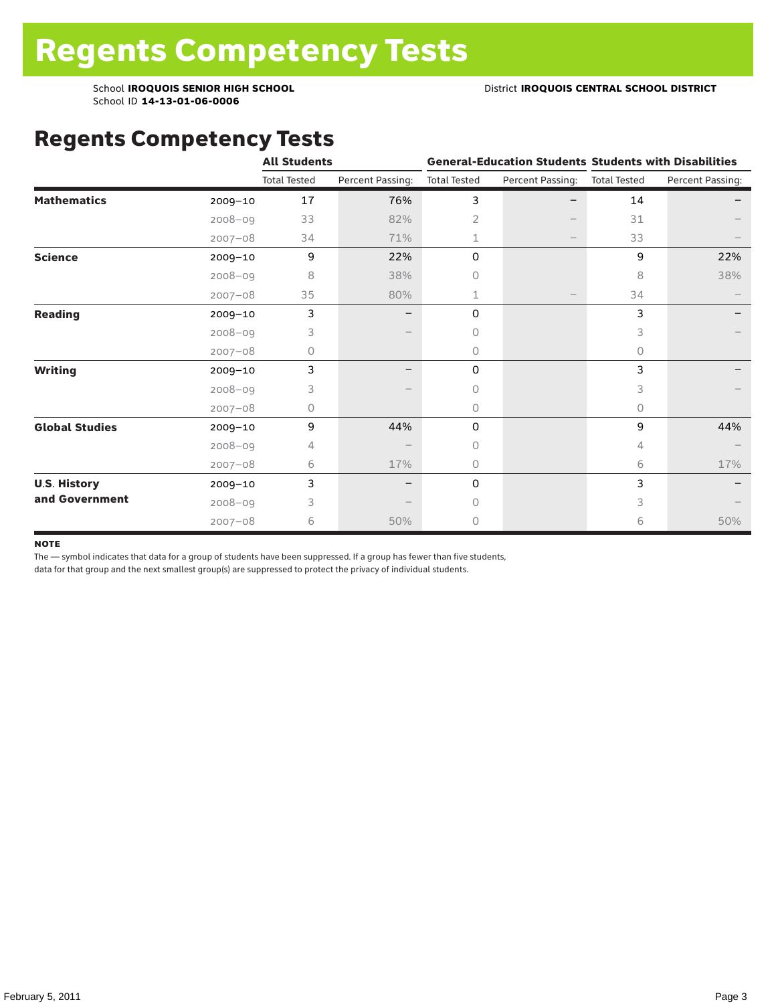### Regents Competency Tests

|                       |             | <b>All Students</b> |                  |                     | <b>General-Education Students Students with Disabilities</b> |                     |                  |
|-----------------------|-------------|---------------------|------------------|---------------------|--------------------------------------------------------------|---------------------|------------------|
|                       |             | <b>Total Tested</b> | Percent Passing: | <b>Total Tested</b> | Percent Passing:                                             | <b>Total Tested</b> | Percent Passing: |
| <b>Mathematics</b>    | $2009 - 10$ | 17                  | 76%              | 3                   |                                                              | 14                  |                  |
|                       | $2008 - 09$ | 33                  | 82%              | $\overline{2}$      |                                                              | 31                  |                  |
|                       | $2007 - 08$ | 34                  | 71%              | 1                   |                                                              | 33                  |                  |
| <b>Science</b>        | 2009-10     | 9                   | 22%              | 0                   |                                                              | 9                   | 22%              |
|                       | $2008 - 09$ | 8                   | 38%              | 0                   |                                                              | 8                   | 38%              |
|                       | $2007 - 08$ | 35                  | 80%              | 1                   |                                                              | 34                  |                  |
| <b>Reading</b>        | $2009 - 10$ | 3                   |                  | 0                   |                                                              | 3                   |                  |
|                       | $2008 - 09$ | 3                   |                  | $\Omega$            |                                                              | 3                   |                  |
|                       | $2007 - 08$ | 0                   |                  | $\circ$             |                                                              | 0                   |                  |
| <b>Writing</b>        | 2009-10     | 3                   |                  | $\mathsf{O}$        |                                                              | 3                   |                  |
|                       | $2008 - 09$ | 3                   |                  | 0                   |                                                              | 3                   |                  |
|                       | $2007 - 08$ | 0                   |                  | $\circ$             |                                                              | 0                   |                  |
| <b>Global Studies</b> | 2009-10     | 9                   | 44%              | 0                   |                                                              | 9                   | 44%              |
|                       | $2008 - 09$ | 4                   |                  | $\circ$             |                                                              | 4                   |                  |
|                       | $2007 - 08$ | 6                   | 17%              | $\circ$             |                                                              | 6                   | 17%              |
| <b>U.S. History</b>   | 2009-10     | 3                   |                  | 0                   |                                                              | 3                   |                  |
| and Government        | $2008 - 09$ | 3                   |                  | $\bigcap$           |                                                              | 3                   |                  |
|                       | $2007 - 08$ | 6                   | 50%              | $\circ$             |                                                              | 6                   | 50%              |

#### **NOTE**

The — symbol indicates that data for a group of students have been suppressed. If a group has fewer than five students,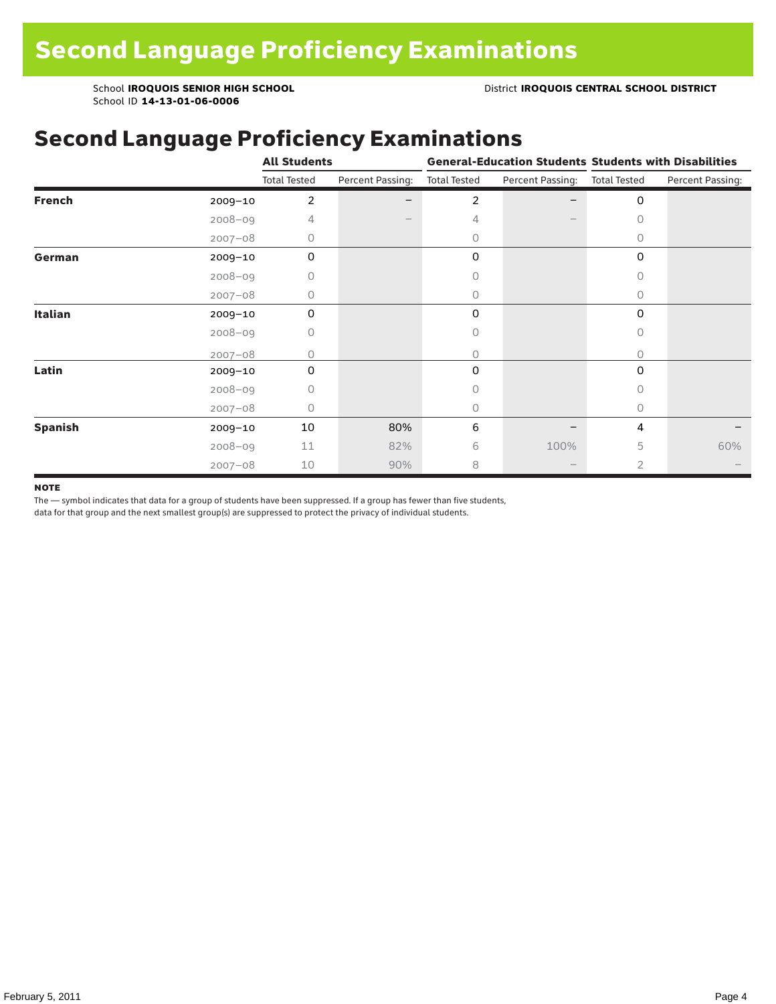### Second Language Proficiency Examinations

|                |             | <b>All Students</b> |                  |                     |                               | <b>General-Education Students Students with Disabilities</b> |                  |  |  |
|----------------|-------------|---------------------|------------------|---------------------|-------------------------------|--------------------------------------------------------------|------------------|--|--|
|                |             | <b>Total Tested</b> | Percent Passing: | <b>Total Tested</b> | Percent Passing: Total Tested |                                                              | Percent Passing: |  |  |
| <b>French</b>  | 2009-10     | 2                   |                  | 2                   |                               | 0                                                            |                  |  |  |
|                | $2008 - 09$ | 4                   |                  | 4                   |                               | 0                                                            |                  |  |  |
|                | $2007 - 08$ | 0                   |                  | 0                   |                               | 0                                                            |                  |  |  |
| German         | 2009-10     | 0                   |                  | 0                   |                               | 0                                                            |                  |  |  |
|                | $2008 - 09$ | 0                   |                  |                     |                               | 0                                                            |                  |  |  |
|                | $2007 - 08$ | 0                   |                  | 0                   |                               | 0                                                            |                  |  |  |
| Italian        | $2009 - 10$ | 0                   |                  | 0                   |                               | 0                                                            |                  |  |  |
|                | $2008 - 09$ | 0                   |                  | 0                   |                               | 0                                                            |                  |  |  |
|                | $2007 - 08$ | O                   |                  | 0                   |                               | $\bigcap$                                                    |                  |  |  |
| Latin          | 2009-10     | 0                   |                  | 0                   |                               | 0                                                            |                  |  |  |
|                | $2008 - 09$ | 0                   |                  | Ω                   |                               | 0                                                            |                  |  |  |
|                | $2007 - 08$ | 0                   |                  | 0                   |                               | $\circ$                                                      |                  |  |  |
| <b>Spanish</b> | $2009 - 10$ | 10                  | 80%              | 6                   |                               | 4                                                            |                  |  |  |
|                | $2008 - 09$ | 11                  | 82%              | 6                   | 100%                          | 5                                                            | 60%              |  |  |
|                | $2007 - 08$ | 10                  | 90%              | 8                   |                               | $\overline{2}$                                               |                  |  |  |

#### **NOTE**

The — symbol indicates that data for a group of students have been suppressed. If a group has fewer than five students,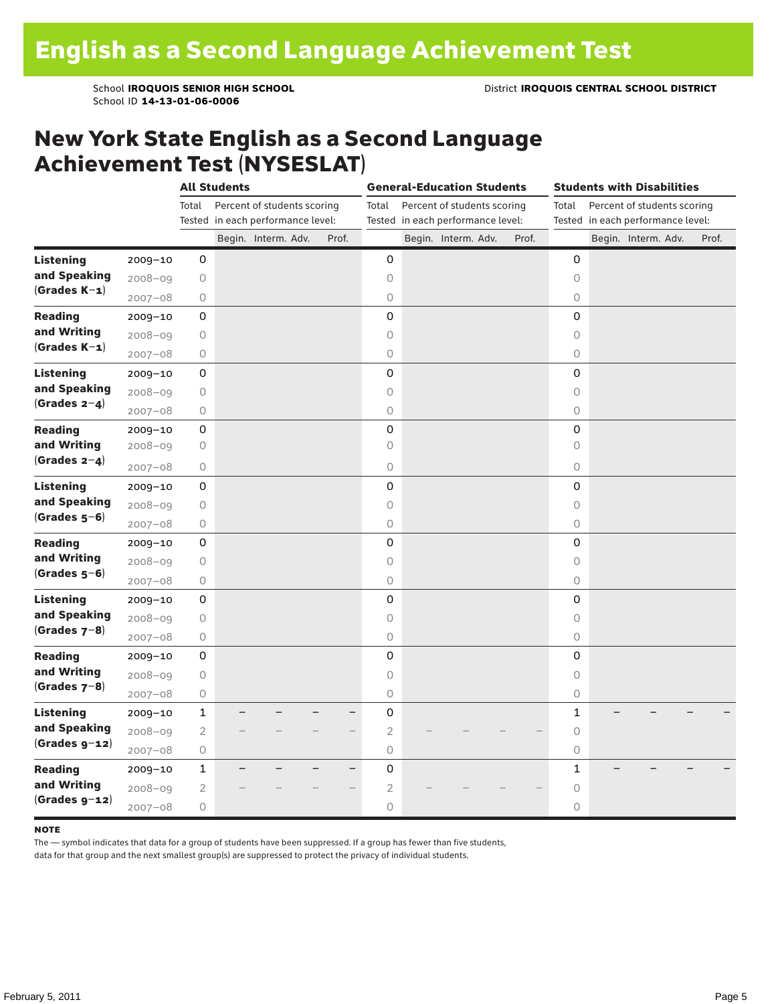### New York State English as a Second Language Achievement Test (NYSESLAT)

|                                |             |                     | <b>All Students</b> |                                   |       | <b>General-Education Students</b> |  |                                   |  | <b>Students with Disabilities</b> |                     |  |  |                                   |  |       |
|--------------------------------|-------------|---------------------|---------------------|-----------------------------------|-------|-----------------------------------|--|-----------------------------------|--|-----------------------------------|---------------------|--|--|-----------------------------------|--|-------|
|                                |             | Total               |                     | Percent of students scoring       |       | Total                             |  | Percent of students scoring       |  |                                   | Total               |  |  | Percent of students scoring       |  |       |
|                                |             |                     |                     | Tested in each performance level: | Prof. |                                   |  | Tested in each performance level: |  | Prof.                             |                     |  |  | Tested in each performance level: |  |       |
|                                |             |                     |                     | Begin. Interm. Adv.               |       |                                   |  | Begin. Interm. Adv.               |  |                                   |                     |  |  | Begin. Interm. Adv.               |  | Prof. |
| <b>Listening</b>               | 2009-10     | 0                   |                     |                                   |       | 0                                 |  |                                   |  |                                   | 0                   |  |  |                                   |  |       |
| and Speaking<br>$(Grades K-1)$ | $2008 - 09$ | $\bigcirc$          |                     |                                   |       | 0                                 |  |                                   |  |                                   | 0                   |  |  |                                   |  |       |
|                                | $2007 - 08$ | 0                   |                     |                                   |       | $\bigcirc$                        |  |                                   |  |                                   | 0                   |  |  |                                   |  |       |
| <b>Reading</b>                 | $2009 - 10$ | $\mathsf{O}\xspace$ |                     |                                   |       | 0                                 |  |                                   |  |                                   | 0                   |  |  |                                   |  |       |
| and Writing<br>$(Grades K-1)$  | $2008 - 09$ | 0                   |                     |                                   |       | $\circ$                           |  |                                   |  |                                   | 0                   |  |  |                                   |  |       |
|                                | $2007 - 08$ | 0                   |                     |                                   |       | $\circ$                           |  |                                   |  |                                   | 0                   |  |  |                                   |  |       |
| Listening                      | $2009 - 10$ | 0                   |                     |                                   |       | $\mathbf 0$                       |  |                                   |  |                                   | 0                   |  |  |                                   |  |       |
| and Speaking                   | $2008 - 09$ | 0                   |                     |                                   |       | $\circ$                           |  |                                   |  |                                   | $\Omega$            |  |  |                                   |  |       |
| $(Grades 2-4)$                 | $2007 - 08$ | $\bigcirc$          |                     |                                   |       | $\circ$                           |  |                                   |  |                                   | 0                   |  |  |                                   |  |       |
| <b>Reading</b>                 | $2009 - 10$ | 0                   |                     |                                   |       | 0                                 |  |                                   |  |                                   | 0                   |  |  |                                   |  |       |
| and Writing                    | $2008 - 09$ | 0                   |                     |                                   |       | 0                                 |  |                                   |  |                                   | 0                   |  |  |                                   |  |       |
| (Grades $2-4$ )                | $2007 - 08$ | 0                   |                     |                                   |       | $\circ$                           |  |                                   |  |                                   | 0                   |  |  |                                   |  |       |
| Listening                      | $2009 - 10$ | $\mathsf{O}\xspace$ |                     |                                   |       | 0                                 |  |                                   |  |                                   | 0                   |  |  |                                   |  |       |
| and Speaking                   | $2008 - 09$ | 0                   |                     |                                   |       | 0                                 |  |                                   |  |                                   | 0                   |  |  |                                   |  |       |
| $(Grades 5-6)$                 | $2007 - 08$ | 0                   |                     |                                   |       | 0                                 |  |                                   |  |                                   | 0                   |  |  |                                   |  |       |
| <b>Reading</b>                 | $2009 - 10$ | 0                   |                     |                                   |       | 0                                 |  |                                   |  |                                   | 0                   |  |  |                                   |  |       |
| and Writing                    | $2008 - 09$ | 0                   |                     |                                   |       | $\circ$                           |  |                                   |  |                                   | 0                   |  |  |                                   |  |       |
| $(Grades 5-6)$                 | $2007 - 08$ | $\bigcirc$          |                     |                                   |       | $\circlearrowright$               |  |                                   |  |                                   | 0                   |  |  |                                   |  |       |
| <b>Listening</b>               | 2009-10     | 0                   |                     |                                   |       | 0                                 |  |                                   |  |                                   | 0                   |  |  |                                   |  |       |
| and Speaking                   | $2008 - 09$ | $\circ$             |                     |                                   |       | $\circ$                           |  |                                   |  |                                   | 0                   |  |  |                                   |  |       |
| $(Grades 7-8)$                 | $2007 - 08$ | 0                   |                     |                                   |       | 0                                 |  |                                   |  |                                   | 0                   |  |  |                                   |  |       |
| <b>Reading</b>                 | $2009 - 10$ | 0                   |                     |                                   |       | 0                                 |  |                                   |  |                                   | 0                   |  |  |                                   |  |       |
| and Writing                    | $2008 - 09$ | 0                   |                     |                                   |       | $\circ$                           |  |                                   |  |                                   | 0                   |  |  |                                   |  |       |
| $(Grades 7-8)$                 | $2007 - 08$ | 0                   |                     |                                   |       | 0                                 |  |                                   |  |                                   | 0                   |  |  |                                   |  |       |
| <b>Listening</b>               | $2009 - 10$ | $\mathbf{1}$        |                     |                                   | ▃     | 0                                 |  |                                   |  |                                   | 1                   |  |  |                                   |  |       |
| and Speaking                   | $2008 - 09$ | $\overline{2}$      |                     |                                   |       | $\overline{2}$                    |  |                                   |  |                                   | 0                   |  |  |                                   |  |       |
| $(Grades g-12)$                | $2007 - 08$ | 0                   |                     |                                   |       | $\bigcirc$                        |  |                                   |  |                                   | 0                   |  |  |                                   |  |       |
| <b>Reading</b>                 | $2009 - 10$ | $\mathbf 1$         |                     |                                   |       | 0                                 |  |                                   |  |                                   | $\mathbf{1}$        |  |  |                                   |  |       |
| and Writing                    |             | $\overline{2}$      |                     |                                   |       | $\sqrt{2}$                        |  |                                   |  |                                   | $\circlearrowright$ |  |  |                                   |  |       |
| $(Grades g-12)$                | $2008 - 09$ |                     |                     |                                   |       |                                   |  |                                   |  |                                   |                     |  |  |                                   |  |       |
|                                | $2007 - 08$ | 0                   |                     |                                   |       | $\circ$                           |  |                                   |  |                                   | 0                   |  |  |                                   |  |       |

#### **NOTE**

The — symbol indicates that data for a group of students have been suppressed. If a group has fewer than five students,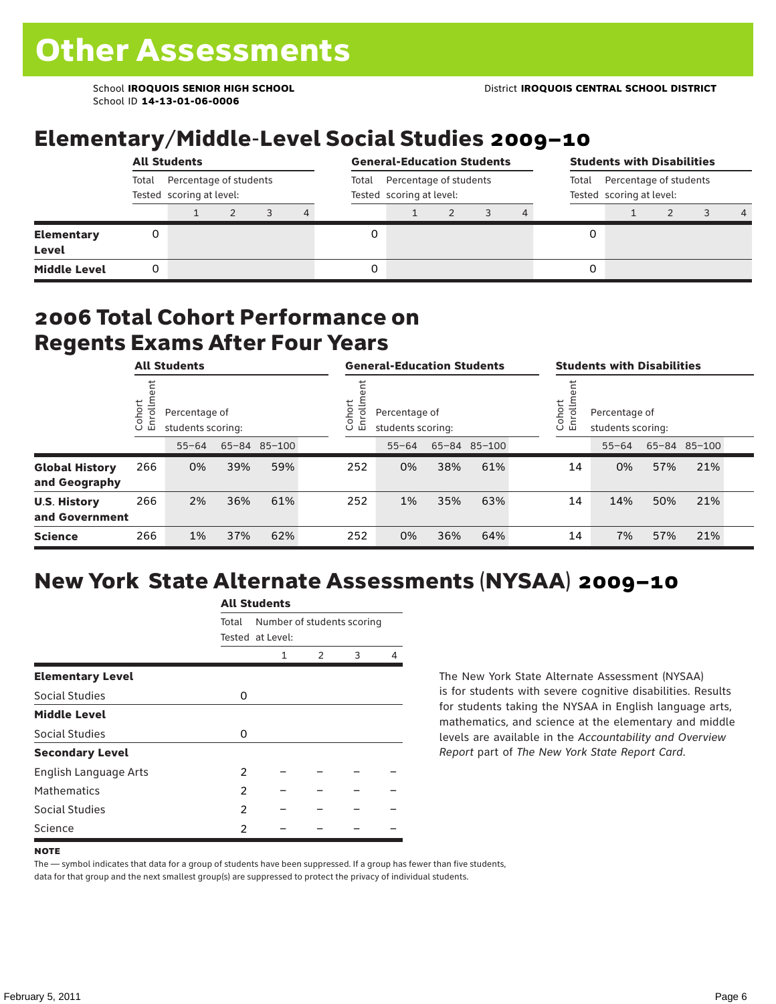## Elementary/Middle-Level Social Studies 2009–10

|                            | <b>All Students</b>                                         |  |  |  |                                                             | <b>General-Education Students</b> |  |  |                                                             |  | <b>Students with Disabilities</b> |  |  |  |                |  |
|----------------------------|-------------------------------------------------------------|--|--|--|-------------------------------------------------------------|-----------------------------------|--|--|-------------------------------------------------------------|--|-----------------------------------|--|--|--|----------------|--|
|                            | Percentage of students<br>Total<br>Tested scoring at level: |  |  |  | Percentage of students<br>Total<br>Tested scoring at level: |                                   |  |  | Percentage of students<br>Total<br>Tested scoring at level: |  |                                   |  |  |  |                |  |
|                            |                                                             |  |  |  | 4                                                           |                                   |  |  |                                                             |  |                                   |  |  |  | $\overline{a}$ |  |
| <b>Elementary</b><br>Level | 0                                                           |  |  |  |                                                             |                                   |  |  |                                                             |  | 0                                 |  |  |  |                |  |
| <b>Middle Level</b>        | 0                                                           |  |  |  |                                                             |                                   |  |  |                                                             |  | 0                                 |  |  |  |                |  |

### 2006 Total Cohort Performance on Regents Exams After Four Years

|                                        | <b>All Students</b>     |           |                                                    |     | <b>General-Education Students</b> |     |                                                              |     | <b>Students with Disabilities</b> |  |    |                                                             |     |              |  |  |
|----------------------------------------|-------------------------|-----------|----------------------------------------------------|-----|-----------------------------------|-----|--------------------------------------------------------------|-----|-----------------------------------|--|----|-------------------------------------------------------------|-----|--------------|--|--|
|                                        | Cohort<br>$\circ$<br>「四 |           | Percentage of<br>students scoring:<br>65-84 85-100 |     |                                   |     | Cohort<br>≣<br>Percentage of<br>ò,<br>모<br>students scoring: |     |                                   |  |    | Cohort<br>≓<br>Percentage of<br>S<br>문<br>students scoring: |     |              |  |  |
|                                        |                         | $55 - 64$ |                                                    |     |                                   |     | $55 - 64$                                                    |     | 65-84 85-100                      |  |    | $55 - 64$                                                   |     | 65-84 85-100 |  |  |
| <b>Global History</b><br>and Geography | 266                     | 0%        | 39%                                                | 59% |                                   | 252 | 0%                                                           | 38% | 61%                               |  | 14 | 0%                                                          | 57% | 21%          |  |  |
| <b>U.S. History</b><br>and Government  | 266                     | 2%        | 36%                                                | 61% |                                   | 252 | 1%                                                           | 35% | 63%                               |  | 14 | 14%                                                         | 50% | 21%          |  |  |
| <b>Science</b>                         | 266                     | 1%        | 37%                                                | 62% |                                   | 252 | 0%                                                           | 36% | 64%                               |  | 14 | 7%                                                          | 57% | 21%          |  |  |

## New York State Alternate Assessments (NYSAA) 2009–10

|                         | <b>All Students</b> |                                                |               |   |   |  |  |  |  |  |
|-------------------------|---------------------|------------------------------------------------|---------------|---|---|--|--|--|--|--|
|                         | Total               | Number of students scoring<br>Tested at Level: |               |   |   |  |  |  |  |  |
|                         |                     | 1                                              | $\mathcal{P}$ | 3 | Δ |  |  |  |  |  |
| <b>Elementary Level</b> |                     |                                                |               |   |   |  |  |  |  |  |
| Social Studies          | 0                   |                                                |               |   |   |  |  |  |  |  |
| <b>Middle Level</b>     |                     |                                                |               |   |   |  |  |  |  |  |
| Social Studies          | 0                   |                                                |               |   |   |  |  |  |  |  |
| <b>Secondary Level</b>  |                     |                                                |               |   |   |  |  |  |  |  |
| English Language Arts   | 2                   |                                                |               |   |   |  |  |  |  |  |
| <b>Mathematics</b>      | 2                   |                                                |               |   |   |  |  |  |  |  |
| Social Studies          | 2                   |                                                |               |   |   |  |  |  |  |  |
| Science                 | 2                   |                                                |               |   |   |  |  |  |  |  |

The New York State Alternate Assessment (NYSAA) is for students with severe cognitive disabilities. Results for students taking the NYSAA in English language arts, mathematics, and science at the elementary and middle levels are available in the *Accountability and Overview Report* part of *The New York State Report Card*.

The — symbol indicates that data for a group of students have been suppressed. If a group has fewer than five students, data for that group and the next smallest group(s) are suppressed to protect the privacy of individual students.

**NOTE**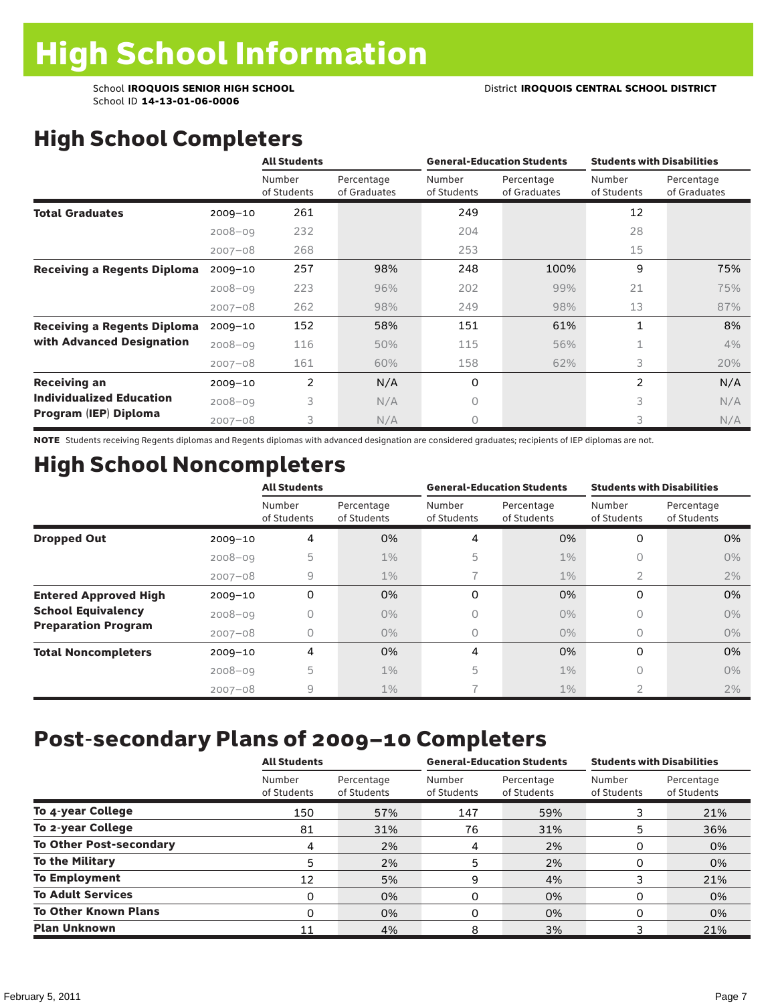## High School Completers

|                                    |             | <b>All Students</b>   |                            | <b>General-Education Students</b> |                            | <b>Students with Disabilities</b> |                            |
|------------------------------------|-------------|-----------------------|----------------------------|-----------------------------------|----------------------------|-----------------------------------|----------------------------|
|                                    |             | Number<br>of Students | Percentage<br>of Graduates | Number<br>of Students             | Percentage<br>of Graduates | Number<br>of Students             | Percentage<br>of Graduates |
| <b>Total Graduates</b>             | $2009 - 10$ | 261                   |                            | 249                               |                            | 12                                |                            |
|                                    | $2008 - 09$ | 232                   |                            | 204                               |                            | 28                                |                            |
|                                    | $2007 - 08$ | 268                   |                            | 253                               |                            | 15                                |                            |
| <b>Receiving a Regents Diploma</b> | $2009 - 10$ | 257                   | 98%                        | 248                               | 100%                       | 9                                 | 75%                        |
|                                    | $2008 - 09$ | 223                   | 96%                        | 202                               | 99%                        | 21                                | 75%                        |
|                                    | $2007 - 08$ | 262                   | 98%                        | 249                               | 98%                        | 13                                | 87%                        |
| <b>Receiving a Regents Diploma</b> | $2009 - 10$ | 152                   | 58%                        | 151                               | 61%                        | $\mathbf{1}$                      | 8%                         |
| with Advanced Designation          | $2008 - 09$ | 116                   | 50%                        | 115                               | 56%                        | 1                                 | 4%                         |
|                                    | $2007 - 08$ | 161                   | 60%                        | 158                               | 62%                        | 3                                 | 20%                        |
| <b>Receiving an</b>                | $2009 - 10$ | 2                     | N/A                        | 0                                 |                            | $\overline{2}$                    | N/A                        |
| <b>Individualized Education</b>    | $2008 - 09$ | 3                     | N/A                        | $\Omega$                          |                            | 3                                 | N/A                        |
| Program (IEP) Diploma              | $2007 - 08$ | 3                     | N/A                        | $\circ$                           |                            | 3                                 | N/A                        |

NOTE Students receiving Regents diplomas and Regents diplomas with advanced designation are considered graduates; recipients of IEP diplomas are not.

## High School Noncompleters

|                              |             | <b>All Students</b>   |                           |                       | <b>General-Education Students</b> | <b>Students with Disabilities</b> |                           |  |
|------------------------------|-------------|-----------------------|---------------------------|-----------------------|-----------------------------------|-----------------------------------|---------------------------|--|
|                              |             | Number<br>of Students | Percentage<br>of Students | Number<br>of Students | Percentage<br>of Students         | Number<br>of Students             | Percentage<br>of Students |  |
| <b>Dropped Out</b>           | $2009 - 10$ | 4                     | 0%                        | 4                     | 0%                                | 0                                 | 0%                        |  |
|                              | $2008 - 09$ | 5                     | $1\%$                     | 5                     | $1\%$                             | $\bigcap$                         | 0%                        |  |
|                              | $2007 - 08$ | $\overline{9}$        | $1\%$                     |                       | $1\%$                             | 2                                 | 2%                        |  |
| <b>Entered Approved High</b> | $2009 - 10$ | 0                     | 0%                        | 0                     | 0%                                | 0                                 | 0%                        |  |
| <b>School Equivalency</b>    | $2008 - 09$ | 0                     | $0\%$                     | 0                     | $0\%$                             | 0                                 | 0%                        |  |
| <b>Preparation Program</b>   | $2007 - 08$ | 0                     | $0\%$                     | 0                     | $0\%$                             | 0                                 | $0\%$                     |  |
| <b>Total Noncompleters</b>   | $2009 - 10$ | 4                     | 0%                        | 4                     | 0%                                | 0                                 | 0%                        |  |
|                              | $2008 - 09$ | 5                     | $1\%$                     | 5                     | 1%                                | 0                                 | $0\%$                     |  |
|                              | $2007 - 08$ | 9                     | 1%                        |                       | $1\%$                             | $\overline{2}$                    | 2%                        |  |

### Post-secondary Plans of 2009–10 Completers

|                                | <b>All Students</b>   |                           |                       | <b>General-Education Students</b> | <b>Students with Disabilities</b> |                           |  |  |
|--------------------------------|-----------------------|---------------------------|-----------------------|-----------------------------------|-----------------------------------|---------------------------|--|--|
|                                | Number<br>of Students | Percentage<br>of Students | Number<br>of Students | Percentage<br>of Students         | Number<br>of Students             | Percentage<br>of Students |  |  |
| To 4-year College              | 150                   | 57%                       | 147                   | 59%                               |                                   | 21%                       |  |  |
| To 2-year College              | 81                    | 31%                       | 76                    | 31%                               | 5                                 | 36%                       |  |  |
| <b>To Other Post-secondary</b> | 4                     | 2%                        | 4                     | 2%                                | 0                                 | 0%                        |  |  |
| <b>To the Military</b>         | 5                     | 2%                        | 5                     | 2%                                | 0                                 | 0%                        |  |  |
| <b>To Employment</b>           | 12                    | 5%                        | 9                     | 4%                                |                                   | 21%                       |  |  |
| <b>To Adult Services</b>       | 0                     | 0%                        | 0                     | 0%                                | 0                                 | 0%                        |  |  |
| <b>To Other Known Plans</b>    | 0                     | 0%                        | O                     | 0%                                | 0                                 | 0%                        |  |  |
| <b>Plan Unknown</b>            | 11                    | 4%                        | 8                     | 3%                                |                                   | 21%                       |  |  |